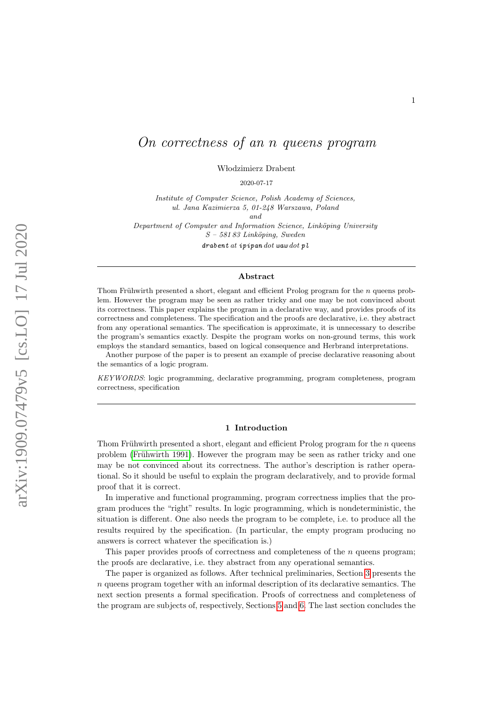# On correctness of an n queens program

W lodzimierz Drabent

2020-07-17

Institute of Computer Science, Polish Academy of Sciences, ul. Jana Kazimierza 5, 01-248 Warszawa, Poland

and

Department of Computer and Information Science, Linköping University  $S - 58183$  Linköping, Sweden

 $drabent$  at ipipan  $dot$  waw  $dot$  pl

# Abstract

Thom Frühwirth presented a short, elegant and efficient Prolog program for the  $n$  queens problem. However the program may be seen as rather tricky and one may be not convinced about its correctness. This paper explains the program in a declarative way, and provides proofs of its correctness and completeness. The specification and the proofs are declarative, i.e. they abstract from any operational semantics. The specification is approximate, it is unnecessary to describe the program's semantics exactly. Despite the program works on non-ground terms, this work employs the standard semantics, based on logical consequence and Herbrand interpretations.

Another purpose of the paper is to present an example of precise declarative reasoning about the semantics of a logic program.

KEYWORDS: logic programming, declarative programming, program completeness, program correctness, specification

#### 1 Introduction

Thom Frühwirth presented a short, elegant and efficient Prolog program for the  $n$  queens problem (Frühwirth 1991). However the program may be seen as rather tricky and one may be not convinced about its correctness. The author's description is rather operational. So it should be useful to explain the program declaratively, and to provide formal proof that it is correct.

In imperative and functional programming, program correctness implies that the program produces the "right" results. In logic programming, which is nondeterministic, the situation is different. One also needs the program to be complete, i.e. to produce all the results required by the specification. (In particular, the empty program producing no answers is correct whatever the specification is.)

This paper provides proofs of correctness and completeness of the *n* queens program; the proofs are declarative, i.e. they abstract from any operational semantics.

The paper is organized as follows. After technical preliminaries, Section [3](#page-3-0) presents the  $n$  queens program together with an informal description of its declarative semantics. The next section presents a formal specification. Proofs of correctness and completeness of the program are subjects of, respectively, Sections [5](#page-9-0) and [6.](#page-10-0) The last section concludes the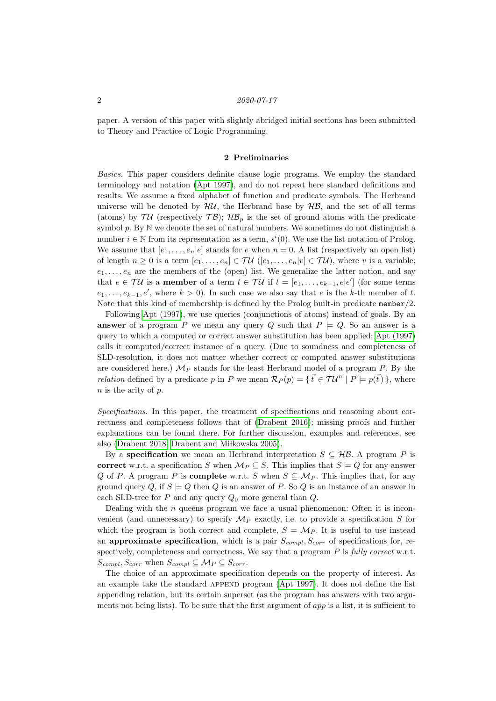paper. A version of this paper with slightly abridged initial sections has been submitted to Theory and Practice of Logic Programming.

### 2 Preliminaries

<span id="page-1-0"></span>Basics. This paper considers definite clause logic programs. We employ the standard terminology and notation [\(Apt 1997\)](#page-12-0), and do not repeat here standard definitions and results. We assume a fixed alphabet of function and predicate symbols. The Herbrand universe will be denoted by  $H\mathcal{U}$ , the Herbrand base by  $H\mathcal{B}$ , and the set of all terms (atoms) by  $\mathcal{T}\mathcal{U}$  (respectively  $\mathcal{T}\mathcal{B}$ );  $\mathcal{HB}_p$  is the set of ground atoms with the predicate symbol  $p$ . By  $\mathbb N$  we denote the set of natural numbers. We sometimes do not distinguish a number  $i \in \mathbb{N}$  from its representation as a term,  $s^i(0)$ . We use the list notation of Prolog. We assume that  $[e_1, \ldots, e_n]e]$  stands for e when  $n = 0$ . A list (respectively an open list) of length  $n \geq 0$  is a term  $[e_1, \ldots, e_n] \in \mathcal{TU}$  ( $[e_1, \ldots, e_n | v] \in \mathcal{TU}$ ), where v is a variable;  $e_1, \ldots, e_n$  are the members of the (open) list. We generalize the latter notion, and say that  $e \in \mathcal{TU}$  is a **member** of a term  $t \in \mathcal{TU}$  if  $t = [e_1, \ldots, e_{k-1}, e|e']$  (for some terms  $e_1, \ldots, e_{k-1}, e'$ , where  $k > 0$ ). In such case we also say that e is the k-th member of t. Note that this kind of membership is defined by the Prolog built-in predicate member/2.

Following [Apt \(1997\)](#page-12-0), we use queries (conjunctions of atoms) instead of goals. By an **answer** of a program P we mean any query Q such that  $P \models Q$ . So an answer is a query to which a computed or correct answer substitution has been applied; [Apt \(1997\)](#page-12-0) calls it computed/correct instance of a query. (Due to soundness and completeness of SLD-resolution, it does not matter whether correct or computed answer substitutions are considered here.)  $\mathcal{M}_P$  stands for the least Herbrand model of a program  $P$ . By the *relation* defined by a predicate p in P we mean  $\mathcal{R}_P(p) = \{\vec{t} \in \mathcal{T} \mathcal{U}^n \mid P \models p(\vec{t})\}$ , where  $n$  is the arity of  $p$ .

Specifications. In this paper, the treatment of specifications and reasoning about correctness and completeness follows that of [\(Drabent 2016\)](#page-13-1); missing proofs and further explanations can be found there. For further discussion, examples and references, see also [\(Drabent 2018;](#page-13-2) Drabent and Miłkowska 2005).

By a **specification** we mean an Herbrand interpretation  $S \subseteq \mathcal{HB}$ . A program P is correct w.r.t. a specification S when  $\mathcal{M}_P \subseteq S$ . This implies that  $S \models Q$  for any answer Q of P. A program P is **complete** w.r.t. S when  $S \subseteq M_P$ . This implies that, for any ground query Q, if  $S \models Q$  then Q is an answer of P. So Q is an instance of an answer in each SLD-tree for  $P$  and any query  $Q_0$  more general than  $Q$ .

Dealing with the  $n$  queens program we face a usual phenomenon: Often it is inconvenient (and unnecessary) to specify  $\mathcal{M}_P$  exactly, i.e. to provide a specification S for which the program is both correct and complete,  $S = M_P$ . It is useful to use instead an approximate specification, which is a pair  $S_{compl}, S_{corr}$  of specifications for, respectively, completeness and correctness. We say that a program  $P$  is fully correct w.r.t.  $S_{compl}, S_{corr}$  when  $S_{compl} \subseteq M_P \subseteq S_{corr}$ .

The choice of an approximate specification depends on the property of interest. As an example take the standard APPEND program [\(Apt 1997\)](#page-12-0). It does not define the list appending relation, but its certain superset (as the program has answers with two arguments not being lists). To be sure that the first argument of app is a list, it is sufficient to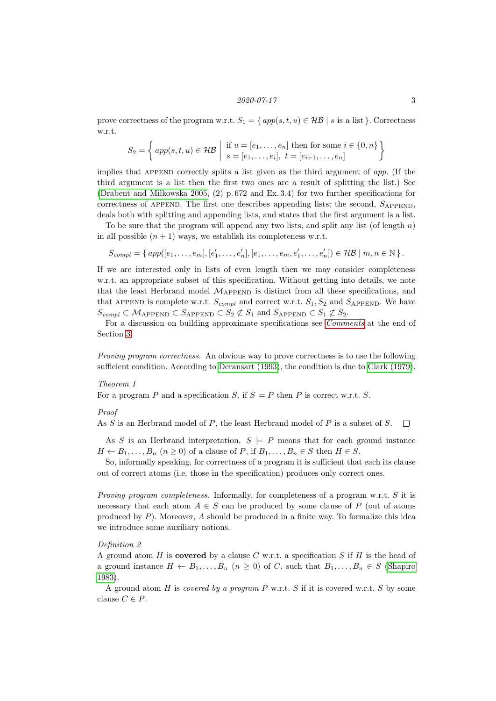prove correctness of the program w.r.t.  $S_1 = \{ app(s, t, u) \in \mathcal{HB} \mid s \text{ is a list } \}.$  Correctness w.r.t.

$$
S_2 = \left\{ \text{app}(s, t, u) \in \mathcal{HB} \mid \begin{array}{l} \text{if } u = [e_1, \dots, e_n] \text{ then for some } i \in \{0, n\} \\ s = [e_1, \dots, e_i], \ t = [e_{i+1}, \dots, e_n] \end{array} \right\}
$$

implies that APPEND correctly splits a list given as the third argument of  $app.$  (If the third argument is a list then the first two ones are a result of splitting the list.) See (Drabent and Mikowska 2005,  $(2)$  p. 672 and Ex. 3.4) for two further specifications for correctness of APPEND. The first one describes appending lists; the second,  $S_{APPEND}$ , deals both with splitting and appending lists, and states that the first argument is a list.

To be sure that the program will append any two lists, and split any list (of length  $n$ ) in all possible  $(n + 1)$  ways, we establish its completeness w.r.t.

$$
S_{compl} = \{ \, app([e_1, \ldots, e_m], [e'_1, \ldots, e'_n], [e_1, \ldots, e_m, e'_1, \ldots, e'_n]) \in \mathcal{HB} \mid m, n \in \mathbb{N} \, \} \, .
$$

If we are interested only in lists of even length then we may consider completeness w.r.t. an appropriate subset of this specification. Without getting into details, we note that the least Herbrand model  $M_{\text{APPEND}}$  is distinct from all these specifications, and that APPEND is complete w.r.t.  $S_{compl}$  and correct w.r.t.  $S_1, S_2$  and  $S_{APPEND}$ . We have  $S_{compl} \subset \mathcal{M}_{\text{APPEND}} \subset S_{\text{APPEND}} \subset S_2 \not\subset S_1$  and  $S_{\text{APPEND}} \subset S_1 \not\subset S_2$ .

For a discussion on building approximate specifications see [Comments](#page-7-0) at the end of Section [3.](#page-3-0)

Proving program correctness. An obvious way to prove correctness is to use the following sufficient condition. According to [Deransart \(1993\)](#page-13-4), the condition is due to [Clark \(1979\)](#page-12-1).

#### <span id="page-2-0"></span>Theorem 1

For a program P and a specification S, if  $S \models P$  then P is correct w.r.t. S.

#### Proof

As  $S$  is an Herbrand model of  $P$ , the least Herbrand model of  $P$  is a subset of  $S$ .  $\Box$ 

As S is an Herbrand interpretation,  $S \models P$  means that for each ground instance  $H \leftarrow B_1, \ldots, B_n$   $(n \ge 0)$  of a clause of P, if  $B_1, \ldots, B_n \in S$  then  $H \in S$ .

So, informally speaking, for correctness of a program it is sufficient that each its clause out of correct atoms (i.e. those in the specification) produces only correct ones.

Proving program completeness. Informally, for completeness of a program w.r.t. S it is necessary that each atom  $A \in S$  can be produced by some clause of P (out of atoms produced by  $P$ ). Moreover,  $A$  should be produced in a finite way. To formalize this idea we introduce some auxiliary notions.

#### Definition 2

A ground atom H is **covered** by a clause C w.r.t. a specification S if H is the head of a ground instance  $H \leftarrow B_1, \ldots, B_n$   $(n \geq 0)$  of C, such that  $B_1, \ldots, B_n \in S$  [\(Shapiro](#page-13-5) [1983\)](#page-13-5).

A ground atom H is covered by a program P w.r.t. S if it is covered w.r.t. S by some clause  $C \in P$ .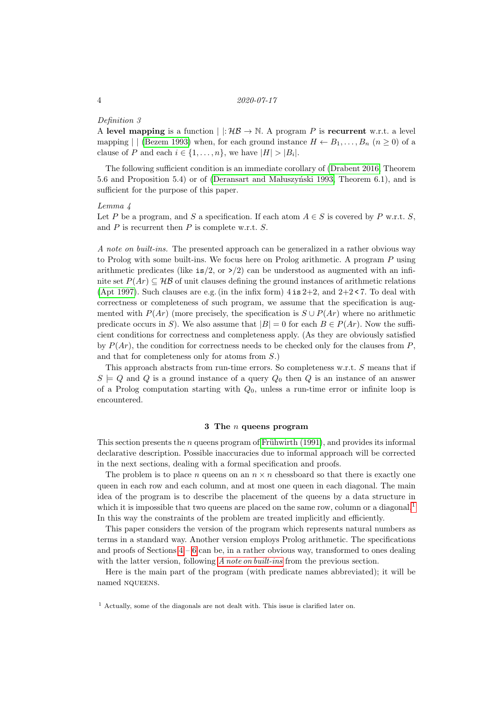#### Definition 3

A level mapping is a function  $| \cdot |: \mathcal{HB} \to \mathbb{N}$ . A program P is recurrent w.r.t. a level mapping | [\(Bezem 1993\)](#page-12-2) when, for each ground instance  $H \leftarrow B_1, \ldots, B_n$   $(n \geq 0)$  of a clause of P and each  $i \in \{1, \ldots, n\}$ , we have  $|H| > |B_i|$ .

The following sufficient condition is an immediate corollary of [\(Drabent 2016,](#page-13-1) Theorem 5.6 and Proposition 5.4) or of (Deransart and Maluszyński 1993, Theorem 6.1), and is sufficient for the purpose of this paper.

#### <span id="page-3-3"></span>Lemma 4

Let P be a program, and S a specification. If each atom  $A \in S$  is covered by P w.r.t. S, and  $P$  is recurrent then  $P$  is complete w.r.t.  $S$ .

<span id="page-3-2"></span>A note on built-ins. The presented approach can be generalized in a rather obvious way to Prolog with some built-ins. We focus here on Prolog arithmetic. A program P using arithmetic predicates (like  $is/2$ , or  $\geq$ ) can be understood as augmented with an infinite set  $P(Ar) \subseteq \mathcal{HB}$  of unit clauses defining the ground instances of arithmetic relations [\(Apt 1997\)](#page-12-0). Such clauses are e.g. (in the infix form)  $4 \text{ is } 2+2$ , and  $2+2 < 7$ . To deal with correctness or completeness of such program, we assume that the specification is augmented with  $P(Ar)$  (more precisely, the specification is  $S \cup P(Ar)$  where no arithmetic predicate occurs in S). We also assume that  $|B| = 0$  for each  $B \in P(Ar)$ . Now the sufficient conditions for correctness and completeness apply. (As they are obviously satisfied by  $P(Ar)$ , the condition for correctness needs to be checked only for the clauses from P. and that for completeness only for atoms from S.)

This approach abstracts from run-time errors. So completeness w.r.t. S means that if  $S \models Q$  and Q is a ground instance of a query  $Q_0$  then Q is an instance of an answer of a Prolog computation starting with  $Q_0$ , unless a run-time error or infinite loop is encountered.

# $3$  The  $n$  queens program

<span id="page-3-0"></span>This section presents the n queens program of Frühwirth  $(1991)$ , and provides its informal declarative description. Possible inaccuracies due to informal approach will be corrected in the next sections, dealing with a formal specification and proofs.

The problem is to place n queens on an  $n \times n$  chessboard so that there is exactly one queen in each row and each column, and at most one queen in each diagonal. The main idea of the program is to describe the placement of the queens by a data structure in which it is impossible that two queens are placed on the same row, column or a diagonal.<sup>[1](#page-3-1)</sup> In this way the constraints of the problem are treated implicitly and efficiently.

This paper considers the version of the program which represents natural numbers as terms in a standard way. Another version employs Prolog arithmetic. The specifications and proofs of Sections  $4 - 6$  $4 - 6$  can be, in a rather obvious way, transformed to ones dealing with the latter version, following [A note on built-ins](#page-3-2) from the previous section.

Here is the main part of the program (with predicate names abbreviated); it will be named NQUEENS.

<span id="page-3-1"></span><sup>1</sup> Actually, some of the diagonals are not dealt with. This issue is clarified later on.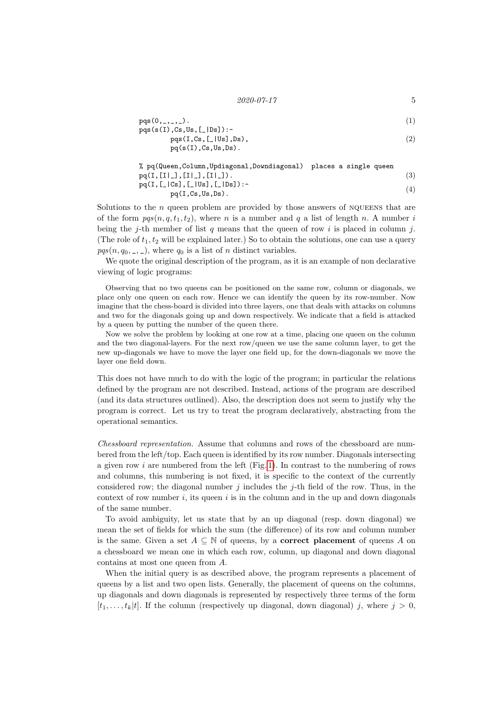```
2020 - 07 - 17 5
```
\n
$$
\text{pqs}(0, \ldots, \ldots)
$$
.\n   
\n $\text{pqs}(s(I), \text{Cs}, \text{Us}, \text{[-|Ds]}): -$ \n

\n\n $\text{pqs}(I, \text{Cs}, \text{[JUs]}, \text{Ds}),$ \n

\n\n $\text{pqs}(s(I), \text{Cs}, \text{Us}, \text{Ds}).$ \n

\n\n (2)\n

% pq(Queen,Column,Updiagonal,Downdiagonal) places a single queen pq(I,[I|\_],[I|\_],[I|\_]). pq(I,[\_|Cs],[\_|Us],[\_|Ds]): pq(I,Cs,Us,Ds). (3) (4)

Solutions to the  $n$  queen problem are provided by those answers of NQUEENS that are of the form  $pqs(n, q, t_1, t_2)$ , where n is a number and q a list of length n. A number i being the j-th member of list q means that the queen of row i is placed in column j. (The role of  $t_1, t_2$  will be explained later.) So to obtain the solutions, one can use a query  $pqs(n, q_0, \ldots, \ldots)$ , where  $q_0$  is a list of n distinct variables.

We quote the original description of the program, as it is an example of non declarative viewing of logic programs:

Observing that no two queens can be positioned on the same row, column or diagonals, we place only one queen on each row. Hence we can identify the queen by its row-number. Now imagine that the chess-board is divided into three layers, one that deals with attacks on columns and two for the diagonals going up and down respectively. We indicate that a field is attacked by a queen by putting the number of the queen there.

Now we solve the problem by looking at one row at a time, placing one queen on the column and the two diagonal-layers. For the next row/queen we use the same column layer, to get the new up-diagonals we have to move the layer one field up, for the down-diagonals we move the layer one field down.

This does not have much to do with the logic of the program; in particular the relations defined by the program are not described. Instead, actions of the program are described (and its data structures outlined). Also, the description does not seem to justify why the program is correct. Let us try to treat the program declaratively, abstracting from the operational semantics.

Chessboard representation. Assume that columns and rows of the chessboard are numbered from the left/top. Each queen is identified by its row number. Diagonals intersecting a given row  $i$  are numbered from the left (Fig. [1\)](#page-5-0). In contrast to the numbering of rows and columns, this numbering is not fixed, it is specific to the context of the currently considered row; the diagonal number  $j$  includes the  $j$ -th field of the row. Thus, in the context of row number i, its queen i is in the column and in the up and down diagonals of the same number.

To avoid ambiguity, let us state that by an up diagonal (resp. down diagonal) we mean the set of fields for which the sum (the difference) of its row and column number is the same. Given a set  $A \subseteq \mathbb{N}$  of queens, by a **correct placement** of queens A on a chessboard we mean one in which each row, column, up diagonal and down diagonal contains at most one queen from A.

When the initial query is as described above, the program represents a placement of queens by a list and two open lists. Generally, the placement of queens on the columns, up diagonals and down diagonals is represented by respectively three terms of the form  $[t_1, \ldots, t_k|t]$ . If the column (respectively up diagonal, down diagonal) j, where  $j > 0$ ,

<span id="page-4-3"></span><span id="page-4-2"></span><span id="page-4-1"></span><span id="page-4-0"></span>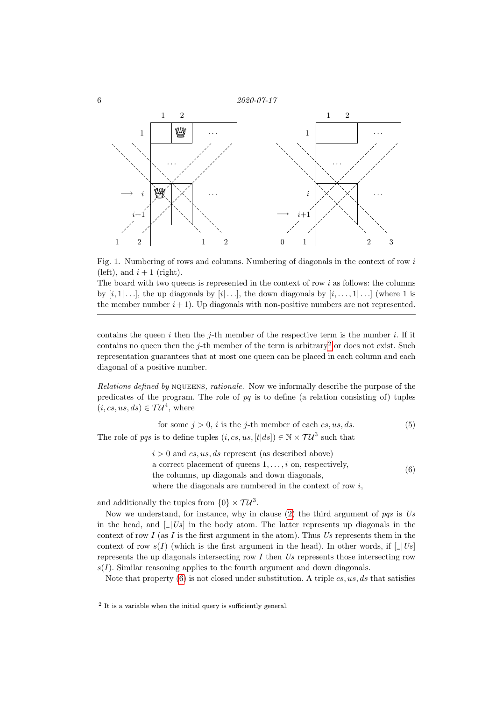



<span id="page-5-0"></span>Fig. 1. Numbering of rows and columns. Numbering of diagonals in the context of row  $i$ (left), and  $i + 1$  (right).

The board with two queens is represented in the context of row  $i$  as follows: the columns by  $[i, 1] \ldots]$ , the up diagonals by  $[i] \ldots]$ , the down diagonals by  $[i, \ldots, 1] \ldots]$  (where 1 is the member number  $i+1$ ). Up diagonals with non-positive numbers are not represented.

contains the queen  $i$  then the j-th member of the respective term is the number  $i$ . If it contains no queen then the *j*-th member of the term is arbitrary<sup>[2](#page-5-1)</sup> or does not exist. Such representation guarantees that at most one queen can be placed in each column and each diagonal of a positive number.

Relations defined by NQUEENS, rationale. Now we informally describe the purpose of the predicates of the program. The role of  $pq$  is to define (a relation consisting of) tuples  $(i, cs, us, ds) \in \mathcal{T}U^4$ , where

<span id="page-5-3"></span>for some  $i > 0$ , i is the *i*-th member of each cs, us, ds. (5)

The role of pqs is to define tuples  $(i, cs, us, [t|ds]) \in \mathbb{N} \times \mathcal{T}U^3$  such that

<span id="page-5-2"></span> $i > 0$  and  $cs, us, ds$  represent (as described above) a correct placement of queens  $1, \ldots, i$  on, respectively, the columns, up diagonals and down diagonals, where the diagonals are numbered in the context of row  $i$ , (6)

and additionally the tuples from  $\{0\} \times \mathcal{T} \mathcal{U}^3$ .

Now we understand, for instance, why in clause  $(2)$  the third argument of pqs is Us in the head, and  $\lfloor |Us| \rfloor$  in the body atom. The latter represents up diagonals in the context of row I (as I is the first argument in the atom). Thus Us represents them in the context of row  $s(I)$  (which is the first argument in the head). In other words, if  $\lfloor |Us| \rfloor$ represents the up diagonals intersecting row  $I$  then  $Us$  represents those intersecting row  $s(I)$ . Similar reasoning applies to the fourth argument and down diagonals.

Note that property [\(6\)](#page-5-2) is not closed under substitution. A triple  $cs, us, ds$  that satisfies

<span id="page-5-1"></span><sup>2</sup> It is a variable when the initial query is sufficiently general.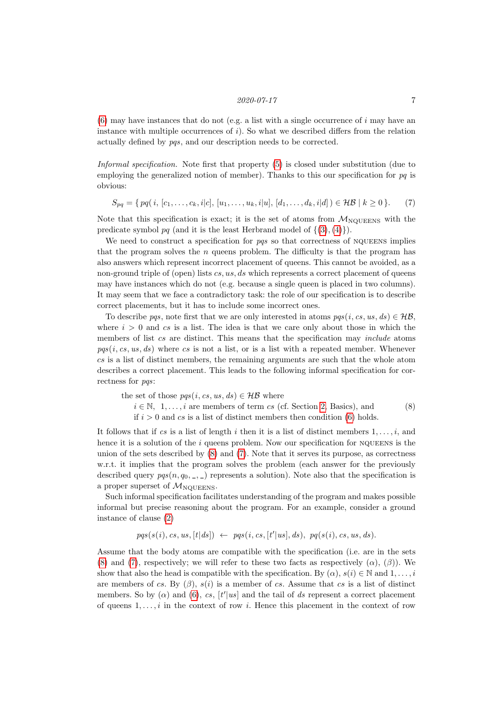$(6)$  may have instances that do not (e.g. a list with a single occurrence of i may have an instance with multiple occurrences of  $i$ ). So what we described differs from the relation actually defined by pqs, and our description needs to be corrected.

Informal specification. Note first that property [\(5\)](#page-5-3) is closed under substitution (due to employing the generalized notion of member). Thanks to this our specification for  $pq$  is obvious:

<span id="page-6-1"></span>
$$
S_{pq} = \{ pq(i, [c_1, \ldots, c_k, i|c], [u_1, \ldots, u_k, i|u], [d_1, \ldots, d_k, i|d]) \in \mathcal{HB} \mid k \ge 0 \}.
$$
 (7)

Note that this specification is exact; it is the set of atoms from  $M_{\text{NOUEENS}}$  with the predicate symbol pq (and it is the least Herbrand model of  $\{(3), (4)\}\)$  $\{(3), (4)\}\)$  $\{(3), (4)\}\)$  $\{(3), (4)\}\)$  $\{(3), (4)\}\)$ .

We need to construct a specification for  $pqs$  so that correctness of NQUEENS implies that the program solves the  $n$  queens problem. The difficulty is that the program has also answers which represent incorrect placement of queens. This cannot be avoided, as a non-ground triple of (open) lists  $cs, us, ds$  which represents a correct placement of queens may have instances which do not (e.g. because a single queen is placed in two columns). It may seem that we face a contradictory task: the role of our specification is to describe correct placements, but it has to include some incorrect ones.

To describe pqs, note first that we are only interested in atoms  $pqs(i, cs, us, ds) \in \mathcal{HB}$ , where  $i > 0$  and cs is a list. The idea is that we care only about those in which the members of list cs are distinct. This means that the specification may *include* atoms  $pqs(i, cs, us, ds)$  where cs is not a list, or is a list with a repeated member. Whenever  $cs$  is a list of distinct members, the remaining arguments are such that the whole atom describes a correct placement. This leads to the following informal specification for correctness for *pqs*:

<span id="page-6-0"></span>the set of those 
$$
pgs(i, cs, us, ds) \in \mathcal{HB}
$$
 where  
\n $i \in \mathbb{N}, 1, ..., i$  are members of term  $cs$  (cf. Section 2, Basics), and  
\nif  $i > 0$  and  $cs$  is a list of distinct members then condition (6) holds. (8)

It follows that if cs is a list of length i then it is a list of distinct members  $1, \ldots, i$ , and hence it is a solution of the  $i$  queens problem. Now our specification for NQUEENS is the union of the sets described by  $(8)$  and  $(7)$ . Note that it serves its purpose, as correctness w.r.t. it implies that the program solves the problem (each answer for the previously described query  $pqs(n, q_0, \ldots, \ldots)$  represents a solution). Note also that the specification is a proper superset of  $M_{\text{NQUEENS}}$ .

Such informal specification facilitates understanding of the program and makes possible informal but precise reasoning about the program. For an example, consider a ground instance of clause [\(2\)](#page-4-0)

 $pqs(s(i), cs, us, [t|ds]) \leftarrow pqs(i, cs, [t'|us], ds), pq(s(i), cs, us, ds).$ 

Assume that the body atoms are compatible with the specification (i.e. are in the sets [\(8\)](#page-6-0) and [\(7\)](#page-6-1), respectively; we will refer to these two facts as respectively  $(\alpha)$ ,  $(\beta)$ ). We show that also the head is compatible with the specification. By  $(\alpha)$ ,  $s(i) \in \mathbb{N}$  and  $1, \ldots, i$ are members of cs. By  $(\beta)$ ,  $s(i)$  is a member of cs. Assume that cs is a list of distinct members. So by  $(\alpha)$  and  $(6)$ ,  $cs$ ,  $[t'|us]$  and the tail of ds represent a correct placement of queens  $1, \ldots, i$  in the context of row i. Hence this placement in the context of row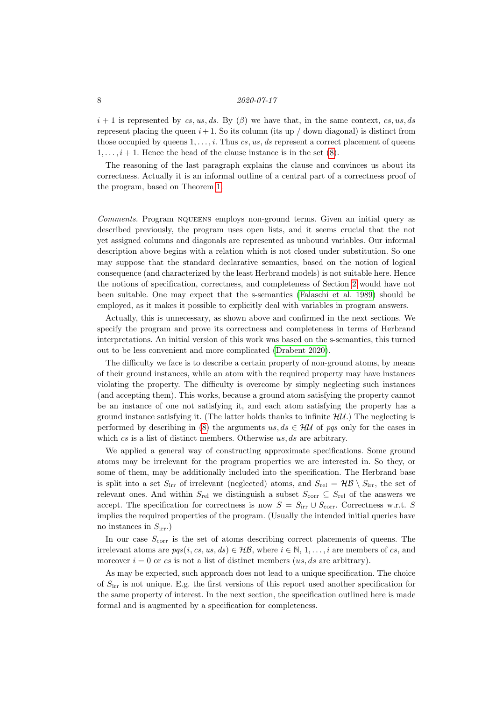$i+1$  is represented by cs, us, ds. By  $(\beta)$  we have that, in the same context, cs, us, ds represent placing the queen  $i+1$ . So its column (its up / down diagonal) is distinct from those occupied by queens  $1, \ldots, i$ . Thus cs, us, ds represent a correct placement of queens  $1, \ldots, i+1$ . Hence the head of the clause instance is in the set [\(8\)](#page-6-0).

The reasoning of the last paragraph explains the clause and convinces us about its correctness. Actually it is an informal outline of a central part of a correctness proof of the program, based on Theorem [1.](#page-2-0)

<span id="page-7-0"></span>Comments. Program NQUEENS employs non-ground terms. Given an initial query as described previously, the program uses open lists, and it seems crucial that the not yet assigned columns and diagonals are represented as unbound variables. Our informal description above begins with a relation which is not closed under substitution. So one may suppose that the standard declarative semantics, based on the notion of logical consequence (and characterized by the least Herbrand models) is not suitable here. Hence the notions of specification, correctness, and completeness of Section [2](#page-1-0) would have not been suitable. One may expect that the s-semantics [\(Falaschi et al. 1989\)](#page-13-7) should be employed, as it makes it possible to explicitly deal with variables in program answers.

Actually, this is unnecessary, as shown above and confirmed in the next sections. We specify the program and prove its correctness and completeness in terms of Herbrand interpretations. An initial version of this work was based on the s-semantics, this turned out to be less convenient and more complicated [\(Drabent 2020\)](#page-13-8).

The difficulty we face is to describe a certain property of non-ground atoms, by means of their ground instances, while an atom with the required property may have instances violating the property. The difficulty is overcome by simply neglecting such instances (and accepting them). This works, because a ground atom satisfying the property cannot be an instance of one not satisfying it, and each atom satisfying the property has a ground instance satisfying it. (The latter holds thanks to infinite  $\mathcal{H}U$ .) The neglecting is performed by describing in [\(8\)](#page-6-0) the arguments us,  $ds \in \mathcal{HU}$  of pqs only for the cases in which  $cs$  is a list of distinct members. Otherwise  $us, ds$  are arbitrary.

We applied a general way of constructing approximate specifications. Some ground atoms may be irrelevant for the program properties we are interested in. So they, or some of them, may be additionally included into the specification. The Herbrand base is split into a set  $S_{irr}$  of irrelevant (neglected) atoms, and  $S_{rel} = \mathcal{HB} \setminus S_{irr}$ , the set of relevant ones. And within  $S_{rel}$  we distinguish a subset  $S_{corr} \subseteq S_{rel}$  of the answers we accept. The specification for correctness is now  $S = S_{irr} \cup S_{corr}$ . Correctness w.r.t. S implies the required properties of the program. (Usually the intended initial queries have no instances in  $S_{irr}$ .

In our case  $S_{\text{corr}}$  is the set of atoms describing correct placements of queens. The irrelevant atoms are  $pqs(i, cs, us, ds) \in \mathcal{HB}$ , where  $i \in \mathbb{N}, 1, \ldots, i$  are members of cs, and moreover  $i = 0$  or cs is not a list of distinct members (us, ds are arbitrary).

As may be expected, such approach does not lead to a unique specification. The choice of  $S_{irr}$  is not unique. E.g. the first versions of this report used another specification for the same property of interest. In the next section, the specification outlined here is made formal and is augmented by a specification for completeness.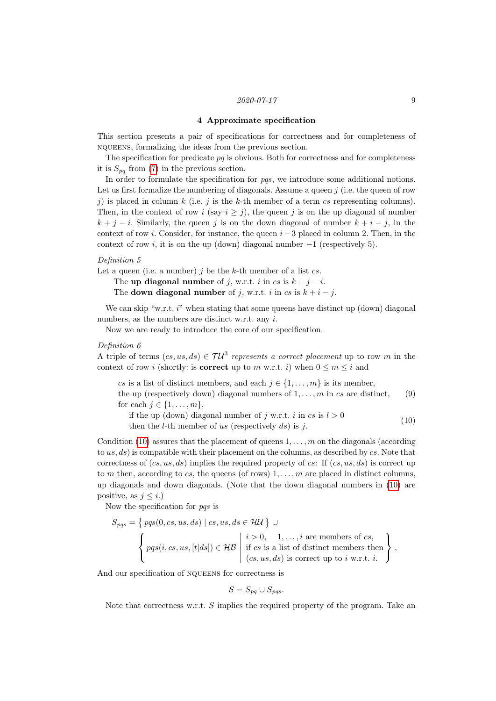### 4 Approximate specification

<span id="page-8-0"></span>This section presents a pair of specifications for correctness and for completeness of nqueens, formalizing the ideas from the previous section.

The specification for predicate  $pq$  is obvious. Both for correctness and for completeness it is  $S_{pq}$  from [\(7\)](#page-6-1) in the previous section.

In order to formulate the specification for pas, we introduce some additional notions. Let us first formalize the numbering of diagonals. Assume a queen  $j$  (i.e. the queen of row j) is placed in column k (i.e. j is the k-th member of a term cs representing columns). Then, in the context of row i (say  $i \geq j$ ), the queen j is on the up diagonal of number  $k + j - i$ . Similarly, the queen j is on the down diagonal of number  $k + i - j$ , in the context of row *i*. Consider, for instance, the queen  $i - 3$  placed in column 2. Then, in the context of row i, it is on the up (down) diagonal number  $-1$  (respectively 5).

# Definition 5

Let a queen (i.e. a number)  $i$  be the k-th member of a list cs.

The up diagonal number of j, w.r.t. i in cs is  $k + j - i$ .

The down diagonal number of j, w.r.t. i in cs is  $k + i - j$ .

We can skip "w.r.t.  $i$ " when stating that some queens have distinct up (down) diagonal numbers, as the numbers are distinct w.r.t. any i.

Now we are ready to introduce the core of our specification.

# <span id="page-8-3"></span>Definition 6

A triple of terms  $(cs, us, ds) \in \mathcal{T}U^3$  represents a correct placement up to row m in the context of row *i* (shortly: is **correct** up to m w.r.t. *i*) when  $0 \le m \le i$  and

cs is a list of distinct members, and each  $j \in \{1, \ldots, m\}$  is its member, the up (respectively down) diagonal numbers of  $1, \ldots, m$  in cs are distinct, (9) for each  $j \in \{1, \ldots, m\}$ ,

if the up (down) diagonal number of j w.r.t. i in cs is  $l > 0$ then the *l*-th member of us (respectively  $ds$ ) is j. (10)

Condition [\(10\)](#page-8-1) assures that the placement of queens  $1, \ldots, m$  on the diagonals (according to  $us, ds$ ) is compatible with their placement on the columns, as described by  $cs$ . Note that correctness of  $(cs, us, ds)$  implies the required property of cs: If  $(cs, us, ds)$  is correct up to m then, according to cs, the queens (of rows)  $1, \ldots, m$  are placed in distinct columns, up diagonals and down diagonals. (Note that the down diagonal numbers in [\(10\)](#page-8-1) are positive, as  $j \leq i$ .)

Now the specification for pqs is

$$
S_{pqs} = \left\{ pqs(0, cs, us, ds) \mid cs, us, ds \in \mathcal{HU} \right\} \cup \n\left\{ pqs(i, cs, us, [t|ds]) \in \mathcal{HB} \mid \begin{aligned} i > 0, 1, \dots, i \text{ are members of } cs, \\ \text{if } cs \text{ is a list of distinct members then} \\ (cs, us, ds) \text{ is correct up to } i \text{ w.r.t. } i. \end{aligned} \right\},
$$

And our specification of nqueens for correctness is

<span id="page-8-2"></span><span id="page-8-1"></span>
$$
S = S_{pq} \cup S_{pqs}.
$$

Note that correctness w.r.t. S implies the required property of the program. Take an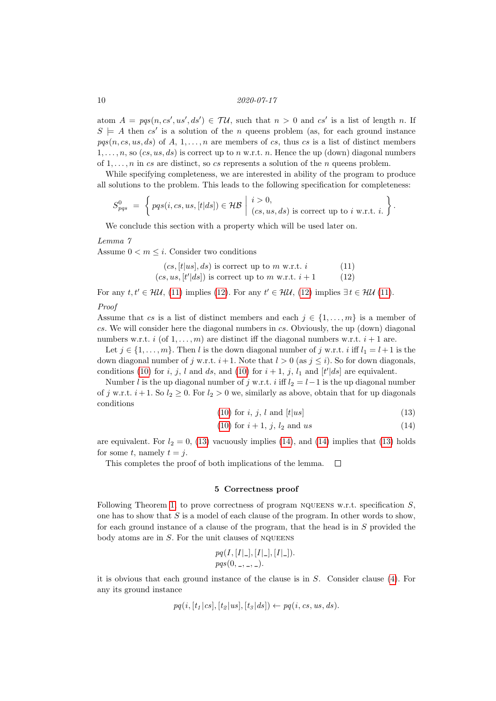atom  $A = pqs(n, cs', us', ds') \in \mathcal{TU}$ , such that  $n > 0$  and  $cs'$  is a list of length n. If  $S \models A$  then  $cs'$  is a solution of the n queens problem (as, for each ground instance  $pqs(n, cs, us, ds)$  of A, 1, ..., n are members of cs, thus cs is a list of distinct members  $1, \ldots, n$ , so  $(cs, us, ds)$  is correct up to n w.r.t. n. Hence the up (down) diagonal numbers of  $1, \ldots, n$  in cs are distinct, so cs represents a solution of the n queens problem.

While specifying completeness, we are interested in ability of the program to produce all solutions to the problem. This leads to the following specification for completeness:

$$
S_{pqs}^{0} = \left\{ \text{pqs}(i, cs, us, [t|ds]) \in \mathcal{HB} \mid i > 0, \atop (cs, us, ds) \text{ is correct up to } i \text{ w.r.t. } i. \right\}.
$$

We conclude this section with a property which will be used later on.

#### <span id="page-9-4"></span>Lemma 7

Assume  $0 \lt m \lt i$ . Consider two conditions

<span id="page-9-1"></span> $(cs, [t|us], ds)$  is correct up to m w.r.t. *i* (11)<br>  $s, us, [t'|ds]$  is correct up to m w.r.t. *i* + 1 (12)  $(cs, us, [t'|ds])$  is correct up to m w.r.t.  $i + 1$  (12)

For any  $t, t' \in \mathcal{HU}, (11)$  $t, t' \in \mathcal{HU}, (11)$  implies [\(12\)](#page-9-2). For any  $t' \in \mathcal{HU}, (12)$  implies  $\exists t \in \mathcal{HU}$  (11). Proof

Assume that cs is a list of distinct members and each  $j \in \{1, \ldots, m\}$  is a member of

cs. We will consider here the diagonal numbers in cs. Obviously, the up (down) diagonal numbers w.r.t. i (of  $1, \ldots, m$ ) are distinct iff the diagonal numbers w.r.t.  $i + 1$  are.

Let  $j \in \{1, \ldots, m\}$ . Then l is the down diagonal number of j w.r.t. i iff  $l_1 = l+1$  is the down diagonal number of j w.r.t.  $i+1$ . Note that  $l > 0$  (as  $j \leq i$ ). So for down diagonals, conditions [\(10\)](#page-8-1) for *i*, *j*, *l* and *ds*, and (10) for  $i + 1$ , *j*,  $l_1$  and  $\lbrack t' \rbrack ds$  are equivalent.

Number l is the up diagonal number of j w.r.t. i iff  $l_2 = l-1$  is the up diagonal number of j w.r.t.  $i+1$ . So  $l_2 \geq 0$ . For  $l_2 > 0$  we, similarly as above, obtain that for up diagonals conditions

<span id="page-9-3"></span><span id="page-9-2"></span>
$$
(10) for i, j, l and 
$$
[t|us]
$$
 (13)
$$

(10) for 
$$
i + 1
$$
,  $j$ ,  $l_2$  and us (14)

are equivalent. For  $l_2 = 0$ , [\(13\)](#page-9-3) vacuously implies [\(14\)](#page-9-3), and (14) implies that (13) holds for some t, namely  $t = j$ .

This completes the proof of both implications of the lemma.  $\Box$ 

# 5 Correctness proof

<span id="page-9-0"></span>Following Theorem [1,](#page-2-0) to prove correctness of program NQUEENS w.r.t. specification  $S$ , one has to show that  $S$  is a model of each clause of the program. In other words to show, for each ground instance of a clause of the program, that the head is in  $S$  provided the body atoms are in  $S$ . For the unit clauses of NQUEENS

$$
pq(I, [I|_-, [I|_-], [I|_-]).
$$
  

$$
pqs(0, \_, \_, \_).
$$

it is obvious that each ground instance of the clause is in S. Consider clause [\(4\)](#page-4-2). For any its ground instance

$$
pq(i,[t_1|cs],[t_2|us],[t_3|ds]) \leftarrow pq(i,cs,us,ds).
$$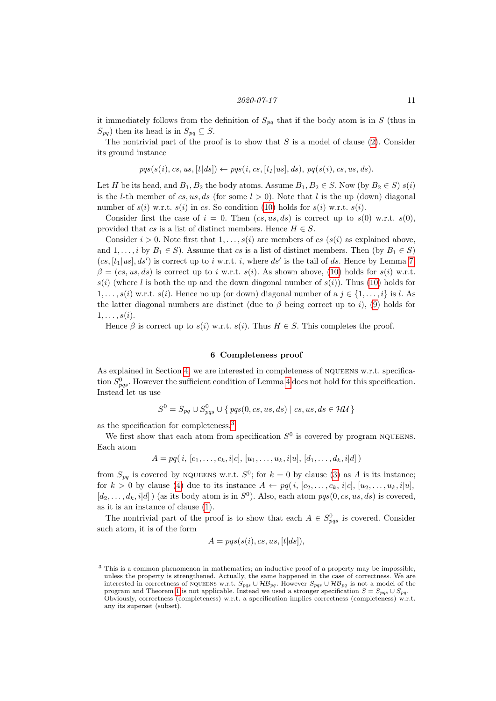it immediately follows from the definition of  $S_{pq}$  that if the body atom is in S (thus in  $S_{pq}$ ) then its head is in  $S_{pq} \subseteq S$ .

The nontrivial part of the proof is to show that  $S$  is a model of clause [\(2\)](#page-4-0). Consider its ground instance

$$
pqs(s(i), cs, us, [t|ds]) \leftarrow pqs(i, cs, [t1|us], ds), pq(s(i), cs, us, ds).
$$

Let H be its head, and  $B_1, B_2$  the body atoms. Assume  $B_1, B_2 \in S$ . Now (by  $B_2 \in S$ )  $s(i)$ is the *l*-th member of cs, us, ds (for some  $l > 0$ ). Note that l is the up (down) diagonal number of  $s(i)$  w.r.t.  $s(i)$  in cs. So condition [\(10\)](#page-8-1) holds for  $s(i)$  w.r.t.  $s(i)$ .

Consider first the case of  $i = 0$ . Then  $(cs, us, ds)$  is correct up to  $s(0)$  w.r.t.  $s(0)$ , provided that cs is a list of distinct members. Hence  $H \in S$ .

Consider  $i > 0$ . Note first that  $1, \ldots, s(i)$  are members of cs  $(s(i))$  as explained above, and  $1, \ldots, i$  by  $B_1 \in S$ ). Assume that cs is a list of distinct members. Then (by  $B_1 \in S$ )  $(cs,[t_1|us],ds')$  is correct up to i w.r.t. i, where  $ds'$  is the tail of ds. Hence by Lemma [7,](#page-9-4)  $\beta = (cs, us, ds)$  is correct up to i w.r.t.  $s(i)$ . As shown above, [\(10\)](#page-8-1) holds for  $s(i)$  w.r.t.  $s(i)$  (where l is both the up and the down diagonal number of  $s(i)$ ). Thus [\(10\)](#page-8-1) holds for  $1, \ldots, s(i)$  w.r.t.  $s(i)$ . Hence no up (or down) diagonal number of a  $j \in \{1, \ldots, i\}$  is l. As the latter diagonal numbers are distinct (due to  $\beta$  being correct up to i), [\(9\)](#page-8-2) holds for  $1, \ldots, s(i)$ .

Hence  $\beta$  is correct up to  $s(i)$  w.r.t.  $s(i)$ . Thus  $H \in S$ . This completes the proof.

#### 6 Completeness proof

<span id="page-10-0"></span>As explained in Section [4,](#page-8-0) we are interested in completeness of NQUEENS w.r.t. specification  $S_{pqs}^0$ . However the sufficient condition of Lemma [4](#page-3-3) does not hold for this specification. Instead let us use

$$
S^{0} = S_{pq} \cup S^{0}_{pqs} \cup \{ \text{pqs}(0, cs, us, ds) \mid cs, us, ds \in \mathcal{HU} \}
$$

as the specification for completeness.[3](#page-10-1)

We first show that each atom from specification  $S^0$  is covered by program NQUEENS. Each atom

$$
A = pq(i, [c_1, \ldots, c_k, i|c], [u_1, \ldots, u_k, i|u], [d_1, \ldots, d_k, i|d])
$$

from  $S_{pq}$  is covered by NQUEENS w.r.t.  $S^0$ ; for  $k = 0$  by clause [\(3\)](#page-4-1) as A is its instance; for  $k > 0$  by clause [\(4\)](#page-4-2) due to its instance  $A \leftarrow pq(i, [c_2, \ldots, c_k, i|c], [u_2, \ldots, u_k, i|u],$  $[d_2, \ldots, d_k, i|d]$  (as its body atom is in  $S^0$ ). Also, each atom  $pqs(0, cs, us, ds)$  is covered, as it is an instance of clause [\(1\)](#page-4-3).

The nontrivial part of the proof is to show that each  $A \in S_{pqs}^0$  is covered. Consider such atom, it is of the form

$$
A = pqs(s(i), cs, us, [t|ds]),
$$

<span id="page-10-1"></span><sup>3</sup> This is a common phenomenon in mathematics; an inductive proof of a property may be impossible, unless the property is strengthened. Actually, the same happened in the case of correctness. We are interested in correctness of NQUEENS w.r.t.  $S_{pqs} \cup \mathcal{HB}_{pq}$ . However  $S_{pqs} \cup \mathcal{HB}_{pq}$  is not a model of the program and Theorem [1](#page-2-0) is not applicable. Instead we used a stronger specification  $S = S_{pqs} \cup S_{pq}$ . Obviously, correctness (completeness) w.r.t. a specification implies correctness (completeness) w.r.t. any its superset (subset).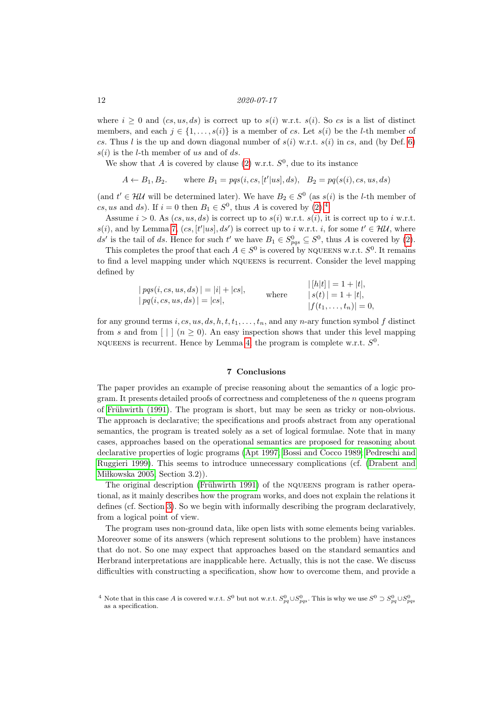where  $i \geq 0$  and  $(c, u, ds)$  is correct up to  $s(i)$  w.r.t.  $s(i)$ . So cs is a list of distinct members, and each  $j \in \{1, ..., s(i)\}\$ is a member of cs. Let  $s(i)$  be the *l*-th member of cs. Thus l is the up and down diagonal number of  $s(i)$  w.r.t.  $s(i)$  in cs, and (by Def. [6\)](#page-8-3)  $s(i)$  is the *l*-th member of us and of ds.

We show that A is covered by clause [\(2\)](#page-4-0) w.r.t.  $S^0$ , due to its instance

$$
A \leftarrow B_1, B_2
$$
, where  $B_1 = pqs(i, cs, [t'|us], ds)$ ,  $B_2 = pq(s(i), cs, us, ds)$ 

(and  $t' \in \mathcal{HU}$  will be determined later). We have  $B_2 \in S^0$  (as  $s(i)$  is the *l*-th member of cs, us and ds). If  $i = 0$  then  $B_1 \in S^0$ , thus A is covered by  $(2)$ .<sup>[4](#page-11-0)</sup>

Assume  $i > 0$ . As  $(c, u, ds)$  is correct up to  $s(i)$  w.r.t.  $s(i)$ , it is correct up to i w.r.t.  $s(i)$ , and by Lemma [7,](#page-9-4)  $(cs, [t'|us], ds')$  is correct up to i w.r.t. i, for some  $t' \in \mathcal{HM}$ , where ds' is the tail of ds. Hence for such t' we have  $B_1 \in S_{pqs}^0 \subseteq S^0$ , thus A is covered by [\(2\)](#page-4-0).

This completes the proof that each  $A \in S^0$  is covered by NQUEENS w.r.t.  $S^0$ . It remains to find a level mapping under which nqueens is recurrent. Consider the level mapping defined by

$$
|pqs(i, cs, us, ds)| = |i| + |cs|,
$$
  
\n $|pqs(i, cs, us, ds)| = |cs|,$   
\nwhere  
\n $|s(t)| = 1 + |t|,$   
\n $|s(t)| = 1 + |t|,$   
\n $|f(t_1, ..., t_n)| = 0$ 

for any ground terms i, cs, us, ds, h, t,  $t_1, \ldots, t_n$ , and any n-ary function symbol f distinct from s and from  $| \cdot | \cdot |$  ( $n \ge 0$ ). An easy inspection shows that under this level mapping NQUEENS is recurrent. Hence by Lemma [4,](#page-3-3) the program is complete w.r.t.  $S^0$ .

# 7 Conclusions

The paper provides an example of precise reasoning about the semantics of a logic program. It presents detailed proofs of correctness and completeness of the  $n$  queens program of Frühwirth (1991). The program is short, but may be seen as tricky or non-obvious. The approach is declarative; the specifications and proofs abstract from any operational semantics, the program is treated solely as a set of logical formulae. Note that in many cases, approaches based on the operational semantics are proposed for reasoning about declarative properties of logic programs [\(Apt 1997;](#page-12-0) [Bossi and Cocco 1989;](#page-12-3) [Pedreschi and](#page-13-9) [Ruggieri 1999\)](#page-13-9). This seems to introduce unnecessary complications (cf. [\(Drabent and](#page-13-3) Miłkowska 2005, Section  $3.2$ ).

The original description (Frühwirth 1991) of the NQUEENS program is rather operational, as it mainly describes how the program works, and does not explain the relations it defines (cf. Section [3\)](#page-3-0). So we begin with informally describing the program declaratively, from a logical point of view.

The program uses non-ground data, like open lists with some elements being variables. Moreover some of its answers (which represent solutions to the problem) have instances that do not. So one may expect that approaches based on the standard semantics and Herbrand interpretations are inapplicable here. Actually, this is not the case. We discuss difficulties with constructing a specification, show how to overcome them, and provide a

<span id="page-11-0"></span><sup>&</sup>lt;sup>4</sup> Note that in this case A is covered w.r.t. S<sup>0</sup> but not w.r.t.  $S_{pq}^0 \cup S_{pqs}^0$ . This is why we use  $S^0 \supset S_{pq}^0 \cup S_{pqs}^0$ as a specification.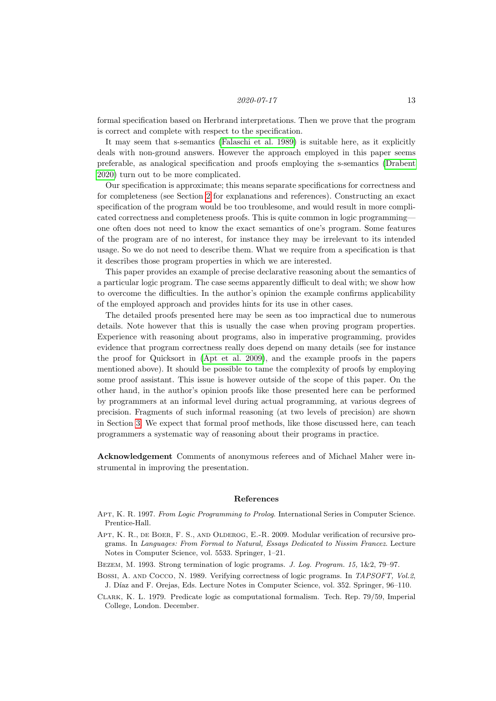formal specification based on Herbrand interpretations. Then we prove that the program is correct and complete with respect to the specification.

It may seem that s-semantics [\(Falaschi et al. 1989\)](#page-13-7) is suitable here, as it explicitly deals with non-ground answers. However the approach employed in this paper seems preferable, as analogical specification and proofs employing the s-semantics [\(Drabent](#page-13-8) [2020\)](#page-13-8) turn out to be more complicated.

Our specification is approximate; this means separate specifications for correctness and for completeness (see Section [2](#page-1-0) for explanations and references). Constructing an exact specification of the program would be too troublesome, and would result in more complicated correctness and completeness proofs. This is quite common in logic programming one often does not need to know the exact semantics of one's program. Some features of the program are of no interest, for instance they may be irrelevant to its intended usage. So we do not need to describe them. What we require from a specification is that it describes those program properties in which we are interested.

This paper provides an example of precise declarative reasoning about the semantics of a particular logic program. The case seems apparently difficult to deal with; we show how to overcome the difficulties. In the author's opinion the example confirms applicability of the employed approach and provides hints for its use in other cases.

The detailed proofs presented here may be seen as too impractical due to numerous details. Note however that this is usually the case when proving program properties. Experience with reasoning about programs, also in imperative programming, provides evidence that program correctness really does depend on many details (see for instance the proof for Quicksort in [\(Apt et al. 2009\)](#page-12-4), and the example proofs in the papers mentioned above). It should be possible to tame the complexity of proofs by employing some proof assistant. This issue is however outside of the scope of this paper. On the other hand, in the author's opinion proofs like those presented here can be performed by programmers at an informal level during actual programming, at various degrees of precision. Fragments of such informal reasoning (at two levels of precision) are shown in Section [3.](#page-3-0) We expect that formal proof methods, like those discussed here, can teach programmers a systematic way of reasoning about their programs in practice.

Acknowledgement Comments of anonymous referees and of Michael Maher were instrumental in improving the presentation.

#### References

- <span id="page-12-0"></span>APT, K. R. 1997. From Logic Programming to Prolog. International Series in Computer Science. Prentice-Hall.
- <span id="page-12-4"></span>APT, K. R., DE BOER, F. S., AND OLDEROG, E.-R. 2009. Modular verification of recursive programs. In Languages: From Formal to Natural, Essays Dedicated to Nissim Francez. Lecture Notes in Computer Science, vol. 5533. Springer, 1–21.
- <span id="page-12-2"></span>BEZEM, M. 1993. Strong termination of logic programs. J. Log. Program. 15, 1&2, 79–97.
- <span id="page-12-3"></span>BOSSI, A. AND COCCO, N. 1989. Verifying correctness of logic programs. In TAPSOFT, Vol.2, J. Díaz and F. Orejas, Eds. Lecture Notes in Computer Science, vol. 352. Springer, 96–110.

<span id="page-12-1"></span>Clark, K. L. 1979. Predicate logic as computational formalism. Tech. Rep. 79/59, Imperial College, London. December.